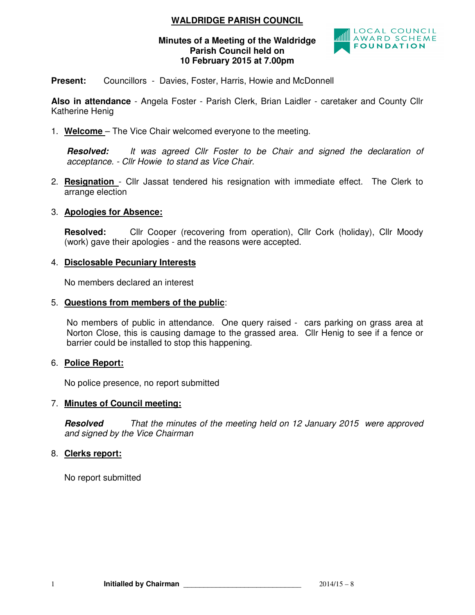# **WALDRIDGE PARISH COUNCIL**

## **Minutes of a Meeting of the Waldridge Parish Council held on 10 February 2015 at 7.00pm**



**Present:** Councillors - Davies, Foster, Harris, Howie and McDonnell

**Also in attendance** - Angela Foster - Parish Clerk, Brian Laidler - caretaker and County Cllr Katherine Henig

1. **Welcome** – The Vice Chair welcomed everyone to the meeting.

**Resolved:** *It was agreed Cllr Foster to be Chair and signed the declaration of acceptance. - Cllr Howie to stand as Vice Chair.* 

2. **Resignation** - Cllr Jassat tendered his resignation with immediate effect. The Clerk to arrange election

## 3. **Apologies for Absence:**

**Resolved:** Cllr Cooper (recovering from operation), Cllr Cork (holiday), Cllr Moody (work) gave their apologies - and the reasons were accepted.

## 4. **Disclosable Pecuniary Interests**

No members declared an interest

#### 5. **Questions from members of the public**:

No members of public in attendance. One query raised - cars parking on grass area at Norton Close, this is causing damage to the grassed area. Cllr Henig to see if a fence or barrier could be installed to stop this happening.

## 6. **Police Report:**

No police presence, no report submitted

## 7. **Minutes of Council meeting:**

**Resolved** *That the minutes of the meeting held on 12 January 2015 were approved and signed by the Vice Chairman* 

## 8. **Clerks report:**

No report submitted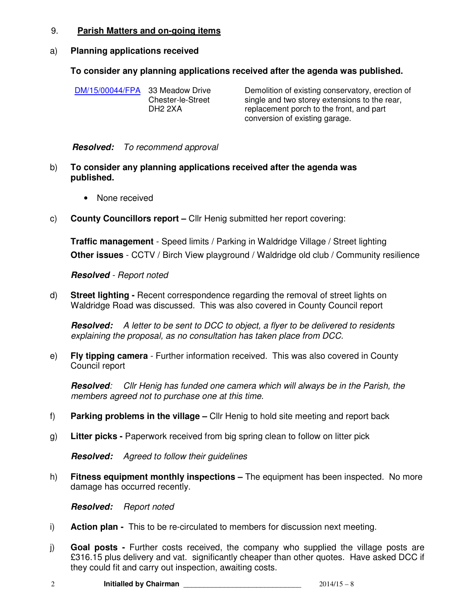## 9. **Parish Matters and on-going items**

#### a) **Planning applications received**

## **To consider any planning applications received after the agenda was published.**

DM/15/00044/FPA 33 Meadow Drive Chester-le-Street DH2 2XA Demolition of existing conservatory, erection of single and two storey extensions to the rear, replacement porch to the front, and part conversion of existing garage.

#### **Resolved:** *To recommend approval*

- b) **To consider any planning applications received after the agenda was published.** 
	- None received
- c) **County Councillors report** Cllr Henig submitted her report covering:

**Traffic management** - Speed limits / Parking in Waldridge Village / Street lighting **Other issues** - CCTV / Birch View playground / Waldridge old club / Community resilience

#### **Resolved** *- Report noted*

d) **Street lighting -** Recent correspondence regarding the removal of street lights on Waldridge Road was discussed. This was also covered in County Council report

**Resolved:** *A letter to be sent to DCC to object, a flyer to be delivered to residents explaining the proposal, as no consultation has taken place from DCC.*

e) **Fly tipping camera** - Further information received. This was also covered in County Council report

**Resolved***: Cllr Henig has funded one camera which will always be in the Parish, the members agreed not to purchase one at this time.* 

- f) **Parking problems in the village –** Cllr Henig to hold site meeting and report back
- g) **Litter picks** Paperwork received from big spring clean to follow on litter pick

**Resolved:** *Agreed to follow their guidelines* 

h) **Fitness equipment monthly inspections –** The equipment has been inspected. No more damage has occurred recently.

**Resolved:** *Report noted* 

- i) **Action plan** This to be re-circulated to members for discussion next meeting.
- j) **Goal posts** Further costs received, the company who supplied the village posts are £316.15 plus delivery and vat. significantly cheaper than other quotes. Have asked DCC if they could fit and carry out inspection, awaiting costs.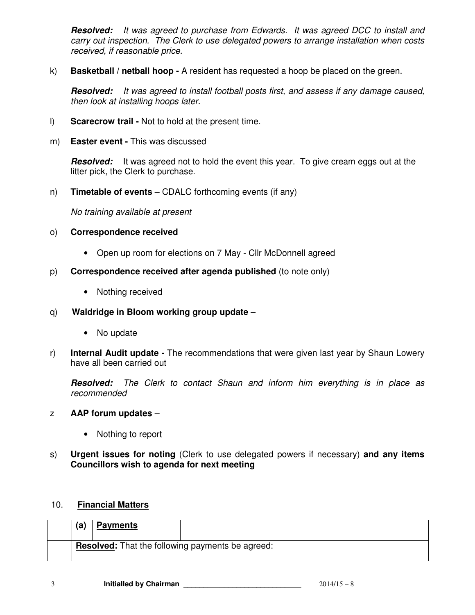**Resolved:** *It was agreed to purchase from Edwards. It was agreed DCC to install and carry out inspection. The Clerk to use delegated powers to arrange installation when costs received, if reasonable price.* 

k) **Basketball / netball hoop -** A resident has requested a hoop be placed on the green.

**Resolved:** *It was agreed to install football posts first, and assess if any damage caused, then look at installing hoops later.*

- l) **Scarecrow trail -** Not to hold at the present time.
- m) **Easter event** This was discussed

Resolved: It was agreed not to hold the event this year. To give cream eggs out at the litter pick, the Clerk to purchase.

n) **Timetable of events** – CDALC forthcoming events (if any)

*No training available at present* 

## o) **Correspondence received**

- Open up room for elections on 7 May Cllr McDonnell agreed
- p) **Correspondence received after agenda published** (to note only)
	- Nothing received
- q) **Waldridge in Bloom working group update** 
	- No update
- r) **Internal Audit update** The recommendations that were given last year by Shaun Lowery have all been carried out

**Resolved:** *The Clerk to contact Shaun and inform him everything is in place as recommended*

## z **AAP forum updates** –

- Nothing to report
- s) **Urgent issues for noting** (Clerk to use delegated powers if necessary) **and any items Councillors wish to agenda for next meeting**

## 10. **Financial Matters**

| (a) | <b>Payments</b> |                                                         |
|-----|-----------------|---------------------------------------------------------|
|     |                 | <b>Resolved:</b> That the following payments be agreed: |